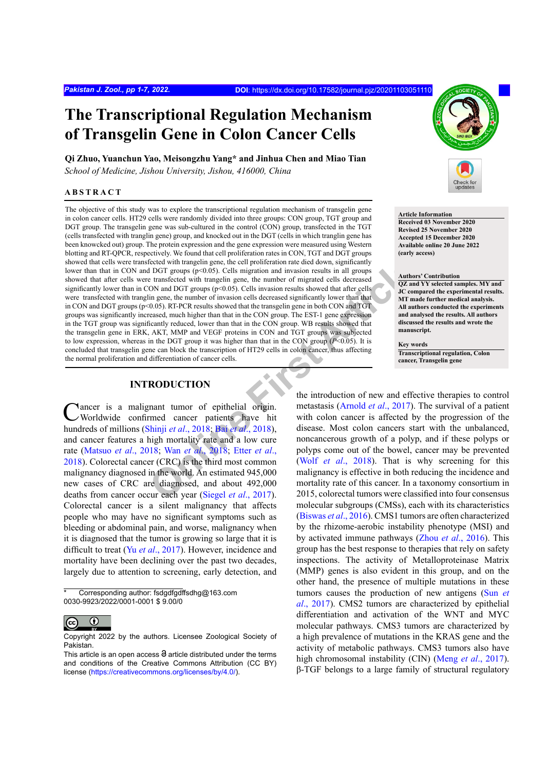# **The Transcriptional Regulation Mechanism of Transgelin Gene in Colon Cancer Cells**

**Qi Zhuo, Yuanchun Yao, Meisongzhu Yang\* and Jinhua Chen and Miao Tian** *School of Medicine, Jishou University, Jishou, 416000, China*

## **ABSTRACT**

#### **Article Information**

**Received 03 November 2020 Revised 25 November 2020 Accepted 15 December 2020 Available online 20 June 2022 (early access)**

#### **Authors' Contribution**

**QZ and YY selected samples. MY and JC compared the experimental results. MT made further medical analysis. All authors conducted the experiments and analysed the results. All authors discussed the results and wrote the manuscript.**

#### **Key words**

**Transcriptional regulation, Colon cancer, Transgelin gene**

Figures (the the column of the column of the matriclean and in the same than the column of the terms (see that the transformation and in groups (see that the column of the column of the column of the column of the column The objective of this study was to explore the transcriptional regulation mechanism of transgelin gene in colon cancer cells. HT29 cells were randomly divided into three groups: CON group, TGT group and DGT group. The transgelin gene was sub-cultured in the control (CON) group, transfected in the TGT (cells transfected with tranglin gene) group, and knocked out in the DGT (cells in which tranglin gene has been knowcked out) group. The protein expression and the gene expression were measured using Western blotting and RT-QPCR, respectively. We found that cell proliferation rates in CON, TGT and DGT groups showed that cells were transfected with trangelin gene, the cell proliferation rate died down, significantly lower than that in CON and DGT groups (p<0.05). Cells migration and invasion results in all groups showed that after cells were transfected with trangelin gene, the number of migrated cells decreased significantly lower than in CON and DGT groups ( $p<0.05$ ). Cells invasion results showed that after cells were transfected with tranglin gene, the number of invasion cells decreased significantly lower than that in CON and DGT groups  $(p<0.05)$ . RT-PCR results showed that the transgelin gene in both CON and TGT groups was significantly increased, much higher than that in the CON group. The EST-1 gene expression in the TGT group was significantly reduced, lower than that in the CON group. WB results showed that the transgelin gene in ERK, AKT, MMP and VEGF proteins in CON and TGT groups was subjected to low expression, whereas in the DGT group it was higher than that in the CON group  $(P< 0.05)$ . It is concluded that transgelin gene can block the transcription of HT29 cells in colon cancer, thus affecting the normal proliferation and differentiation of cancer cells.

# **INTRODUCTION**

Cancer is a malignant tumor of epithelial origin.<br>
Worldwide confirmed cancer patients have hit hundreds of millions (Shinji *et al*., 2018; Bai *et al*., 2018), and cancer features a high mortality rate and a low cure rate ([Matsuo](#page-5-1) *et al*., 2018; Wan *et al*., 2018; Etter *et al*., [2018](#page-5-2)). Colorectal cancer (CRC) is the third most common malignancy diagnosed in the world. An estimated 945,000 new cases of CRC are diagnosed, and about 492,000 deaths from cancer occur each year (Siegel *et al*., 2017). Colorectal cancer is a silent malignancy that affects people who may have no significant symptoms such as bleeding or abdominal pain, and worse, malignancy when it is diagnosed that the tumor is growing so large that it is difficult to treat (Yu *et al*[., 2017](#page-6-1)). However, incidence and mortality have been declining over the past two decades, largely due to attention to screening, early detection, and

Corresponding author: fsdgdfgdffsdhg@163.com 0030-9923/2022/0001-0001 \$ 9.00/0



Copyright 2022 by the authors. Licensee Zoological Society of Pakistan.

the introduction of new and effective therapies to control metastasis (Arnold *et al*., 2017). The survival of a patient with colon cancer is affected by the progression of the disease. Most colon cancers start with the unbalanced, noncancerous growth of a polyp, and if these polyps or polyps come out of the bowel, cancer may be prevented (Wolf *et al*., 2018). That is why screening for this malignancy is effective in both reducing the incidence and mortality rate of this cancer. In a taxonomy consortium in 2015, colorectal tumors were classified into four consensus molecular subgroups (CMSs), each with its characteristics ([Biswas](#page-4-2) *et al*., 2016). CMS1 tumors are often characterized by the rhizome-aerobic instability phenotype (MSI) and by activated immune pathways (Zhou *et al*[., 2016](#page-6-3)). This group has the best response to therapies that rely on safety inspections. The activity of Metalloproteinase Matrix (MMP) genes is also evident in this group, and on the other hand, the presence of multiple mutations in these tumors causes the production of new antigens ([Sun](#page-5-4) *et al*[., 2017\)](#page-5-4). CMS2 tumors are characterized by epithelial differentiation and activation of the WNT and MYC molecular pathways. CMS3 tumors are characterized by a high prevalence of mutations in the KRAS gene and the activity of metabolic pathways. CMS3 tumors also have high chromosomal instability (CIN) (Meng *et al*[., 2017](#page-5-5)). β-TGF belongs to a large family of structural regulatory

This article is an open access  $\Theta$  article distributed under the terms and conditions of the Creative Commons Attribution (CC BY) license (<https://creativecommons.org/licenses/by/4.0/>).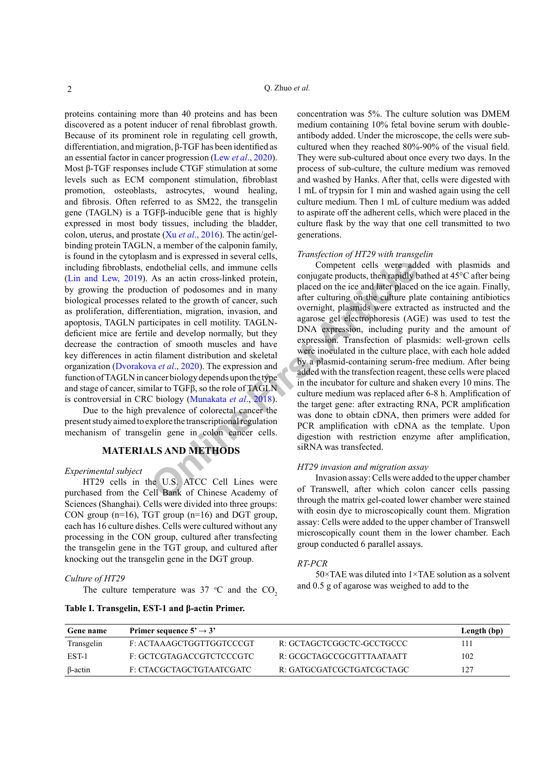proteins containing more than 40 proteins and has been discovered as a potent inducer of renal fibroblast growth. Because of its prominent role in regulating cell growth, differentiation, and migration, β-TGF has been identified as an essential factor in cancer progression (Lew *et al*[., 2020](#page-5-6)). Most β-TGF responses include CTGF stimulation at some levels such as ECM component stimulation, fibroblast promotion, osteoblasts, astrocytes, wound healing, and fibrosis. Often referred to as SM22, the transgelin gene (TAGLN) is a TGFβ-inducible gene that is highly expressed in most body tissues, including the bladder, colon, uterus, and prostate (Xu *et al*[., 2016](#page-6-4)). The actin/gelbinding protein TAGLN, a member of the calponin family, is found in the cytoplasm and is expressed in several cells, including fibroblasts, endothelial cells, and immune cells ([Lin and Lew, 2019\)](#page-5-7). As an actin cross-linked protein, by growing the production of podosomes and in many biological processes related to the growth of cancer, such as proliferation, differentiation, migration, invasion, and apoptosis, TAGLN participates in cell motility. TAGLNdeficient mice are fertile and develop normally, but they decrease the contraction of smooth muscles and have key differences in actin filament distribution and skeletal organization (Dvorakova *et al*., 2020). The expression and function of TAGLN in cancer biology depends upon the type and stage of cancer, similar to TGF $\beta$ , so the role of TAGLN is controversial in CRC biology (Munakata *et al*., 2018).

Due to the high prevalence of colorectal cancer the present study aimed to explore the transcriptional regulation mechanism of transgelin gene in colon cancer cells.

# **MATERIALS AND METHODS**

## *Experimental subject*

HT29 cells in the U.S. ATCC Cell Lines were purchased from the Cell Bank of Chinese Academy of Sciences (Shanghai). Cells were divided into three groups: CON group (n=16), TGT group (n=16) and DGT group, each has 16 culture dishes. Cells were cultured without any processing in the CON group, cultured after transfecting the transgelin gene in the TGT group, and cultured after knocking out the transgelin gene in the DGT group.

## *Culture of HT29*

The culture temperature was 37  $\degree$ C and the CO<sub>2</sub>

## <span id="page-1-0"></span>**Table I. Transgelin, EST-1 and β-actin Primer.**

concentration was 5%. The culture solution was DMEM medium containing 10% fetal bovine serum with doubleantibody added. Under the microscope, the cells were subcultured when they reached 80%-90% of the visual field. They were sub-cultured about once every two days. In the process of sub-culture, the culture medium was removed and washed by Hanks. After that, cells were digested with 1 mL of trypsin for 1 min and washed again using the cell culture medium. Then 1 mL of culture medium was added to aspirate off the adherent cells, which were placed in the culture flask by the way that one cell transmitted to two generations.

## *Transfection of HT29 with transgelin*

**CONFIGUATE:**<br> **CONFIGUATE:**<br> **CONFIGUATE:**<br> **CONFIGUATE:**<br> **CONFIGUATE:**<br> **CONFIGUATE:**<br> **CONFIGUATE:**<br> **CONFIGUATE:**<br> **CONFIGUATE:**<br> **CONFIGUATE:**<br> **CONFIGUATE:**<br> **CONFIGUATE:**<br> **CONFIGUATE:**<br> **CONFIGUATE:**<br> **CONFIGUATE:** Competent cells were added with plasmids and conjugate products, then rapidly bathed at 45°C after being placed on the ice and later placed on the ice again. Finally, after culturing on the culture plate containing antibiotics overnight, plasmids were extracted as instructed and the agarose gel electrophoresis (AGE) was used to test the DNA expression, including purity and the amount of expression. Transfection of plasmids: well-grown cells were inoculated in the culture place, with each hole added by a plasmid-containing serum-free medium. After being added with the transfection reagent, these cells were placed in the incubator for culture and shaken every 10 mins. The culture medium was replaced after 6-8 h. Amplification of the target gene: after extracting RNA, PCR amplification was done to obtain cDNA, then primers were added for PCR amplification with cDNA as the template. Upon digestion with restriction enzyme after amplification, siRNA was transfected.

## *HT29 invasion and migration assay*

Invasion assay: Cells were added to the upper chamber of Transwell, after which colon cancer cells passing through the matrix gel-coated lower chamber were stained with eosin dye to microscopically count them. Migration assay: Cells were added to the upper chamber of Transwell microscopically count them in the lower chamber. Each group conducted 6 parallel assays.

#### *RT-PCR*

50×TAE was diluted into 1×TAE solution as a solvent and 0.5 g of agarose was weighed to add to the

| Gene name      | Primer sequence $5' \rightarrow 3'$ |                              | Length (bp) |
|----------------|-------------------------------------|------------------------------|-------------|
| Transgelin     | F: ACTAAAGCTGGTTGGTCCCGT            | R: GCTAGCTCGGCTC-GCCTGCCC    | 111         |
| EST-1          | F: GCTCGTAGACCGTCTCCCGTC            | $R$ GCGCTAGCCGCGTTTA ATA ATT | 102         |
| $\beta$ -actin | F: CTACGCTAGCTGTAATCGATC            | R: GATGCGATCGCTGATCGCTAGC    | 127         |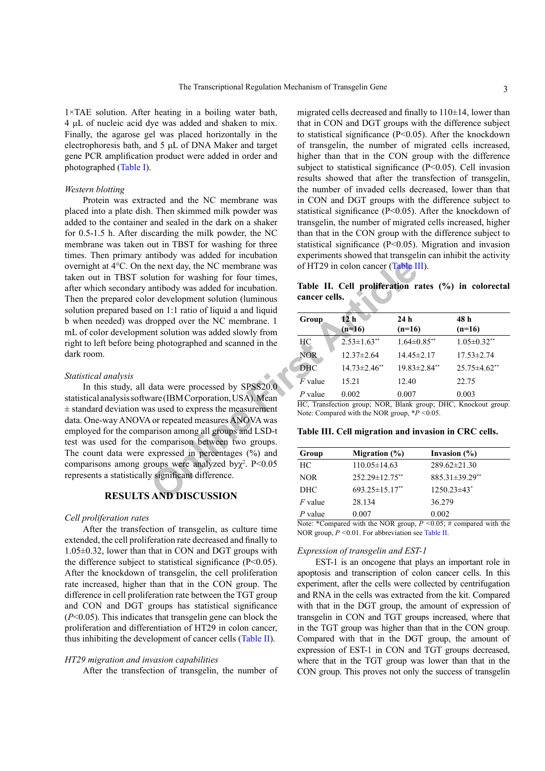1×TAE solution. After heating in a boiling water bath, 4 μL of nucleic acid dye was added and shaken to mix. Finally, the agarose gel was placed horizontally in the electrophoresis bath, and 5 μL of DNA Maker and target gene PCR amplification product were added in order and photographed ([Table I](#page-1-0)).

# *Western blotting*

The next day, the NC membrane was<br>
lution for washing for four times,<br>
untibody was added for incubation.<br>
Tab[le](#page-2-1) **II.** Cell proliferation r<br>
articles and the stress of HT29 in colon cancer calls.<br>
Table **II.** Cell prolife Protein was extracted and the NC membrane was placed into a plate dish. Then skimmed milk powder was added to the container and sealed in the dark on a shaker for 0.5-1.5 h. After discarding the milk powder, the NC membrane was taken out in TBST for washing for three times. Then primary antibody was added for incubation overnight at 4°C. On the next day, the NC membrane was taken out in TBST solution for washing for four times, after which secondary antibody was added for incubation. Then the prepared color development solution (luminous solution prepared based on 1:1 ratio of liquid a and liquid b when needed) was dropped over the NC membrane. 1 mL of color development solution was added slowly from right to left before being photographed and scanned in the dark room.

## *Statistical analysis*

In this study, all data were processed by SPSS20.0 statistical analysis software (IBM Corporation, USA). Mean  $\pm$  standard deviation was used to express the measurement data. One-way ANOVA or repeated measures ANOVA was employed for the comparison among all groups and LSD-t test was used for the comparison between two groups. The count data were expressed in percentages (%) and comparisons among groups were analyzed by $\chi^2$ . P<0.05 represents a statistically significant difference.

# **RESULTS AND DISCUSSION**

## *Cell proliferation rates*

After the transfection of transgelin, as culture time extended, the cell proliferation rate decreased and finally to 1.05±0.32, lower than that in CON and DGT groups with the difference subject to statistical significance  $(P<0.05)$ . After the knockdown of transgelin, the cell proliferation rate increased, higher than that in the CON group. The difference in cell proliferation rate between the TGT group and CON and DGT groups has statistical significance (*P*<0.05). This indicates that transgelin gene can block the proliferation and differentiation of HT29 in colon cancer, thus inhibiting the development of cancer cells ([Table II\)](#page-2-0).

## *HT29 migration and invasion capabilities*

After the transfection of transgelin, the number of

migrated cells decreased and finally to  $110\pm14$ , lower than that in CON and DGT groups with the difference subject to statistical significance (P<0.05). After the knockdown of transgelin, the number of migrated cells increased, higher than that in the CON group with the difference subject to statistical significance (P<0.05). Cell invasion results showed that after the transfection of transgelin, the number of invaded cells decreased, lower than that in CON and DGT groups with the difference subject to statistical significance (P<0.05). After the knockdown of transgelin, the number of migrated cells increased, higher than that in the CON group with the difference subject to statistical significance (P<0.05). Migration and invasion experiments showed that transgelin can inhibit the activity of HT29 in colon cancer (Table III).

<span id="page-2-0"></span>**Table II. Cell proliferation rates (%) in colorectal cancer cells.**

| Group      | 12 <sub>h</sub>               | 24h              | 48 h                |
|------------|-------------------------------|------------------|---------------------|
|            | $(n=16)$                      | $(n=16)$         | $(n=16)$            |
| HC         | $2.53 \pm 1.63$ <sup>**</sup> | $1.64\pm0.85**$  | $1.05 \pm 0.32$ **  |
| <b>NOR</b> | $12.37 \pm 2.64$              | $14.45 \pm 2.17$ | $17.53 \pm 2.74$    |
| <b>DHC</b> | $14.73 \pm 2.46$ **           | 19.83±2.84**     | $25.75 \pm 4.62$ ** |
| $F$ value  | 15.21                         | 12.40            | 22.75               |
| $P$ value  | 0.002                         | 0.007            | 0.003               |

HC, Transfection group; NOR, Blank group; DHC, Knockout group. Note: Compared with the NOR group, \**P <*0.05.

#### <span id="page-2-1"></span>**Table III. Cell migration and invasion in CRC cells.**

| Group      | Migration $(\%)$   | Invasion $(\% )$                                                                                                                                                                                                                   |  |
|------------|--------------------|------------------------------------------------------------------------------------------------------------------------------------------------------------------------------------------------------------------------------------|--|
| HС         | $110.05 \pm 14.63$ | $289.62 \pm 21.30$                                                                                                                                                                                                                 |  |
| <b>NOR</b> | 252.29±12.75**     | 885.31±39.29**                                                                                                                                                                                                                     |  |
| DHC        | 693.25±15.17**     | $1250.23\pm43$ <sup>*</sup>                                                                                                                                                                                                        |  |
| $F$ value  | 28.134             | 36.279                                                                                                                                                                                                                             |  |
| $P$ value  | 0.007              | 0.002                                                                                                                                                                                                                              |  |
|            | .<br>$\sqrt{2}$    | .<br>$P_1$ $Q_2$ $Q_3$ $Q_4$ $Q_5$ $Q_7$ $Q_8$ $Q_9$ $Q_9$ $Q_9$ $Q_9$ $Q_9$ $Q_9$ $Q_9$ $Q_9$ $Q_9$ $Q_9$ $Q_9$ $Q_9$ $Q_9$ $Q_9$ $Q_9$ $Q_9$ $Q_9$ $Q_9$ $Q_9$ $Q_9$ $Q_9$ $Q_9$ $Q_9$ $Q_9$ $Q_9$ $Q_9$ $Q_9$ $Q_9$ $Q_9$ $Q_9$ |  |

Note: \*Compared with the NOR group, *P <*0.05; # compared with the NOR group, *P <*0.01. For abbreviation see [Table II.](#page-2-0)

#### *Expression of transgelin and EST-1*

EST-1 is an oncogene that plays an important role in apoptosis and transcription of colon cancer cells. In this experiment, after the cells were collected by centrifugation and RNA in the cells was extracted from the kit. Compared with that in the DGT group, the amount of expression of transgelin in CON and TGT groups increased, where that in the TGT group was higher than that in the CON group. Compared with that in the DGT group, the amount of expression of EST-1 in CON and TGT groups decreased, where that in the TGT group was lower than that in the CON group. This proves not only the success of transgelin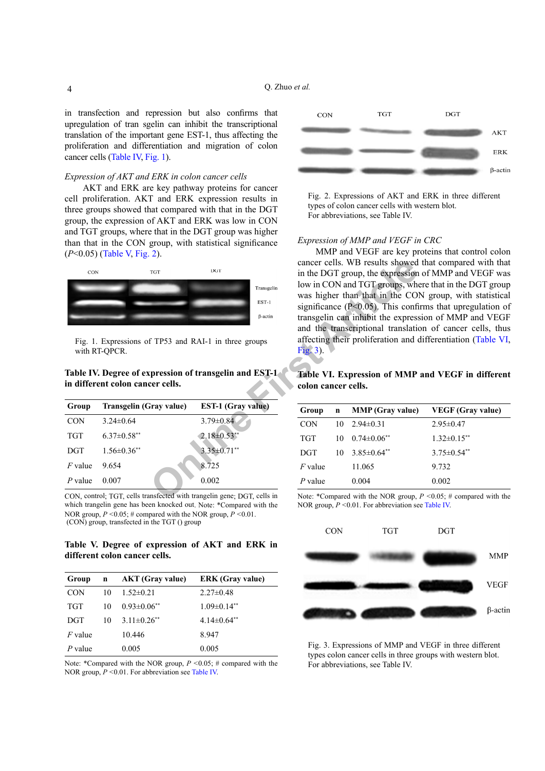in transfection and repression but also confirms that upregulation of tran sgelin can inhibit the transcriptional translation of the important gene EST-1, thus affecting the proliferation and differentiation and migration of colon cancer cells ([Table IV](#page-3-0), [Fig. 1](#page-3-1)).

## *Expression of AKT and ERK in colon cancer cells*

AKT and ERK are key pathway proteins for cancer cell proliferation. AKT and ERK expression results in three groups showed that compared with that in the DGT group, the expression of AKT and ERK was low in CON and TGT groups, where that in the DGT group was higher than that in the CON group, with statistical significance (*P*<0.05) ([Table V](#page-3-2), [Fig. 2](#page-3-3)).



<span id="page-3-1"></span>Fig. 1. Expressions of TP53 and RAI-1 in three groups with RT-QPCR.

# <span id="page-3-0"></span>**Table IV. Degree of expression of transgelin and EST-1 in different colon cancer cells.**

| Group      | Transgelin (Gray value) | <b>EST-1 (Gray value)</b> |
|------------|-------------------------|---------------------------|
| <b>CON</b> | $3.24\pm 0.64$          | $3.79 \pm 0.84$           |
| <b>TGT</b> | $6.37 \pm 0.58$ **      | $2.18 \pm 0.53$ **        |
| <b>DGT</b> | $1.56 \pm 0.36$ **      | $3.35 \pm 0.71$ **        |
| $F$ value  | 9654                    | 8.725                     |
| $P$ value  | 0.007                   | 0.002                     |

CON, control; TGT, cells transfected with trangelin gene; DGT, cells in which trangelin gene has been knocked out. Note: \*Compared with the NOR group, *P <*0.05; # compared with the NOR group, *P <*0.01. (CON) group, transfected in the TGT () group

# <span id="page-3-2"></span>**Table V. Degree of expression of AKT and ERK in different colon cancer cells.**

| Group      | $\mathbf n$ | <b>AKT</b> (Gray value) | <b>ERK</b> (Gray value) |
|------------|-------------|-------------------------|-------------------------|
| <b>CON</b> | 10          | $1.52 \pm 0.21$         | $2.27\pm0.48$           |
| <b>TGT</b> | 10          | $0.93 \pm 0.06$ **      | $1.09 \pm 0.14$ **      |
| <b>DGT</b> | 10          | $3.11\pm0.26**$         | $4.14\pm0.64**$         |
| $F$ value  |             | 10.446                  | 8.947                   |
| $P$ value  |             | 0.005                   | 0.005                   |

Note: \*Compared with the NOR group, *P <*0.05; # compared with the NOR group, *P <*0.01. For abbreviation see [Table IV](#page-3-0).



<span id="page-3-3"></span>Fig. 2. Expressions of AKT and ERK in three different types of colon cancer cells with western blot. For abbreviations, see Table IV.

## *Expression of MMP and VEGF in CRC*

THE TRIS US TON THE SET UPPER SURPORTED THE ST[A](#page-3-5)TE OF THE STATE OF THE STATE OF THE STATE OF THE STATE OF THE STATE OF THE STATE OF THE STATE OF THE STATE OF THE STATE OF THE STATE OF THE STATE OF THE STATE OF THE STATE OF MMP and VEGF are key proteins that control colon cancer cells. WB results showed that compared with that in the DGT group, the expression of MMP and VEGF was low in CON and TGT groups, where that in the DGT group was higher than that in the CON group, with statistical significance ( $P<0.05$ ). This confirms that upregulation of transgelin can inhibit the expression of MMP and VEGF and the transcriptional translation of cancer cells, thus affecting their proliferation and differentiation ([Table VI](#page-3-4), Fig. 3).

# <span id="page-3-4"></span>**Table VI. Expression of MMP and VEGF in different colon cancer cells.**

| Group      | $\mathbf n$ | <b>MMP</b> (Gray value) | <b>VEGF</b> (Gray value) |
|------------|-------------|-------------------------|--------------------------|
| <b>CON</b> | 10          | $2.94\pm 0.31$          | $2.95 \pm 0.47$          |
| <b>TGT</b> | 10          | $0.74 \pm 0.06$ **      | $1.32 \pm 0.15$ **       |
| <b>DGT</b> | 10          | $3.85\pm0.64**$         | $3.75 \pm 0.54$ **       |
| $F$ value  |             | 11.065                  | 9.732                    |
| $P$ value  |             | 0.004                   | 0.002                    |

Note: \*Compared with the NOR group, *P <*0.05; # compared with the NOR group, *P <*0.01. For abbreviation see [Table IV](#page-3-4).



<span id="page-3-5"></span>Fig. 3. Expressions of MMP and VEGF in three different types colon cancer cells in three groups with western blot. For abbreviations, see Table IV.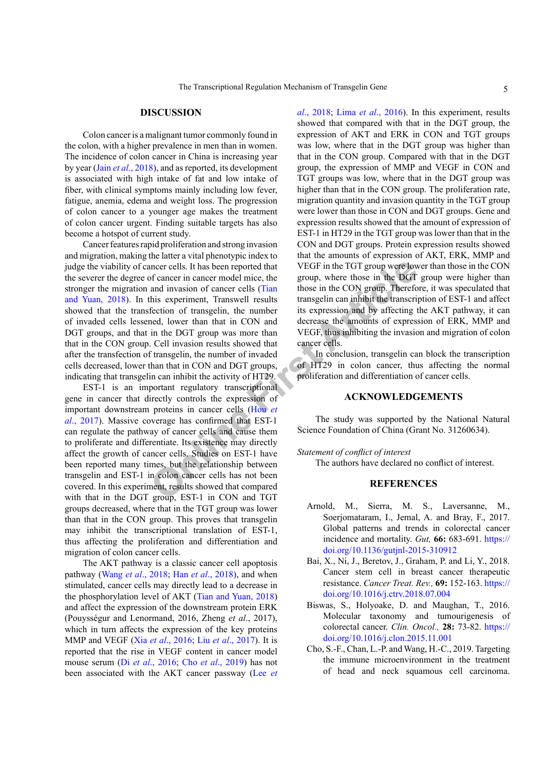## **DISCUSSION**

Colon cancer is a malignant tumor commonly found in the colon, with a higher prevalence in men than in women. The incidence of colon cancer in China is increasing year by year (Jain *et al*[., 2018](#page-5-10)), and as reported, its development is associated with high intake of fat and low intake of fiber, with clinical symptoms mainly including low fever, fatigue, anemia, edema and weight loss. The progression of colon cancer to a younger age makes the treatment of colon cancer urgent. Finding suitable targets has also become a hotspot of current study.

neer cells. It has been reported that<br> **OF EXECT ARTICLE CON** the TGT group were low<br>
this experiment, Transwell results (Tian<br>
those in the CON group. Therefore<br>
the base in the DGT<br>
this expression and by affecting trans Cancer features rapid proliferation and strong invasion and migration, making the latter a vital phenotypic index to judge the viability of cancer cells. It has been reported that the severer the degree of cancer in cancer model mice, the stronger the migration and invasion of cancer cells (Tian [and Yuan, 2018](#page-6-5)). In this experiment, Transwell results showed that the transfection of transgelin, the number of invaded cells lessened, lower than that in CON and DGT groups, and that in the DGT group was more than that in the CON group. Cell invasion results showed that after the transfection of transgelin, the number of invaded cells decreased, lower than that in CON and DGT groups, indicating that transgelin can inhibit the activity of HT29.

EST-1 is an important regulatory transcriptional gene in cancer that directly controls the expression of important downstream proteins in cancer cells (Hou *et al*[., 2017\)](#page-5-11). Massive coverage has confirmed that EST-1 can regulate the pathway of cancer cells and cause them to proliferate and differentiate. Its existence may directly affect the growth of cancer cells. Studies on EST-1 have been reported many times, but the relationship between transgelin and EST-1 in colon cancer cells has not been covered. In this experiment, results showed that compared with that in the DGT group, EST-1 in CON and TGT groups decreased, where that in the TGT group was lower than that in the CON group. This proves that transgelin may inhibit the transcriptional translation of EST-1, thus affecting the proliferation and differentiation and migration of colon cancer cells.

The AKT pathway is a classic cancer cell apoptosis pathway (Wang *et al*[., 2018](#page-6-6); Han *et al*[., 2018](#page-5-12)), and when stimulated, cancer cells may directly lead to a decrease in the phosphorylation level of AKT ([Tian and Yuan, 2018](#page-6-5)) and affect the expression of the downstream protein ERK (Pouysségur and Lenormand, 2016, Zheng *et al*., 2017), which in turn affects the expression of the key proteins MMP and VEGF (Xia *et al*[., 2016](#page-6-7); Liu *et al*[., 2017](#page-5-13)). It is reported that the rise in VEGF content in cancer model mouse serum (Di *et al*[., 2016](#page-5-14); Cho *et al*[., 2019](#page-4-3)) has not been associated with the AKT cancer passway ([Lee](#page-5-15) *et*  *al*[., 2018](#page-5-15); Lima *et al*[., 2016](#page-5-16)). In this experiment, results showed that compared with that in the DGT group, the expression of AKT and ERK in CON and TGT groups was low, where that in the DGT group was higher than that in the CON group. Compared with that in the DGT group, the expression of MMP and VEGF in CON and TGT groups was low, where that in the DGT group was higher than that in the CON group. The proliferation rate, migration quantity and invasion quantity in the TGT group were lower than those in CON and DGT groups. Gene and expression results showed that the amount of expression of EST-1 in HT29 in the TGT group was lower than that in the CON and DGT groups. Protein expression results showed that the amounts of expression of AKT, ERK, MMP and VEGF in the TGT group were lower than those in the CON group, where those in the DGT group were higher than those in the CON group. Therefore, it was speculated that transgelin can inhibit the transcription of EST-1 and affect its expression and by affecting the AKT pathway, it can decrease the amounts of expression of ERK, MMP and VEGF, thus inhibiting the invasion and migration of colon cancer cells.

In conclusion, transgelin can block the transcription of HT29 in colon cancer, thus affecting the normal proliferation and differentiation of cancer cells.

# **ACKNOWLEDGEMENTS**

The study was supported by the National Natural Science Foundation of China (Grant No. 31260634).

## *Statement of conflict of interest*

The authors have declared no conflict of interest.

# **REFERENCES**

- <span id="page-4-1"></span>Arnold, M., Sierra, M. S., Laversanne, M., Soerjomataram, I., Jemal, A. and Bray, F., 2017. Global patterns and trends in colorectal cancer incidence and mortality. *Gut,* **66:** 683-691. [https://](https://doi.org/10.1136/gutjnl-2015-310912) [doi.org/10.1136/gutjnl-2015-310912](https://doi.org/10.1136/gutjnl-2015-310912)
- <span id="page-4-0"></span>Bai, X., Ni, J., Beretov, J., Graham, P. and Li, Y., 2018. Cancer stem cell in breast cancer therapeutic resistance. *Cancer Treat. Rev.,* **69:** 152-163. [https://](https://doi.org/10.1016/j.ctrv.2018.07.004) [doi.org/10.1016/j.ctrv.2018.07.004](https://doi.org/10.1016/j.ctrv.2018.07.004)
- <span id="page-4-2"></span>Biswas, S., Holyoake, D. and Maughan, T., 2016. Molecular taxonomy and tumourigenesis of colorectal cancer. *Clin. Oncol.,* **28:** 73-82. [https://](https://doi.org/10.1016/j.clon.2015.11.001) [doi.org/10.1016/j.clon.2015.11.001](https://doi.org/10.1016/j.clon.2015.11.001)
- <span id="page-4-3"></span>Cho, S.-F., Chan, L.-P. and Wang, H.-C., 2019. Targeting the immune microenvironment in the treatment of head and neck squamous cell carcinoma.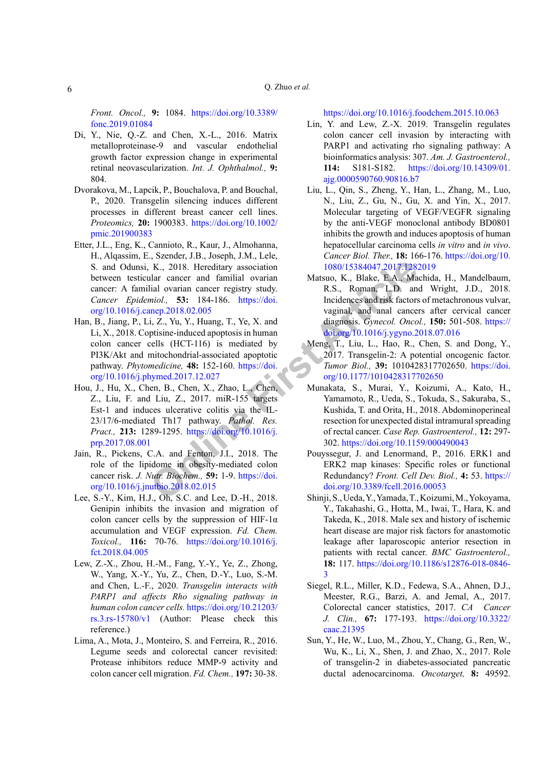*Front. Oncol.,* **9:** 1084. [https://doi.org/10.3389/](https://doi.org/10.3389/fonc.2019.01084) [fonc.2019.01084](https://doi.org/10.3389/fonc.2019.01084)

- <span id="page-5-14"></span>Di, Y., Nie, Q.-Z. and Chen, X.-L., 2016. Matrix metalloproteinase-9 and vascular endothelial growth factor expression change in experimental retinal neovascularization. *Int. J. Ophthalmol.,* **9:**  804.
- <span id="page-5-8"></span>Dvorakova, M., Lapcik, P., Bouchalova, P. and Bouchal, P., 2020. Transgelin silencing induces different processes in different breast cancer cell lines. *Proteomics,* **20:** 1900383. [https://doi.org/10.1002/](https://doi.org/10.1002/pmic.201900383) [pmic.201900383](https://doi.org/10.1002/pmic.201900383)
- <span id="page-5-2"></span>Etter, J.L., Eng, K., Cannioto, R., Kaur, J., Almohanna, H., Alqassim, E., Szender, J.B., Joseph, J.M., Lele, S. and Odunsi, K., 2018. Hereditary association between testicular cancer and familial ovarian cancer: A familial ovarian cancer registry study. *Cancer Epidemiol.,* **53:** 184-186. https://doi. [org/10.1016/j.canep.2018.02.005](https://doi.org/10.1016/j.canep.2018.02.005)
- <span id="page-5-12"></span><span id="page-5-11"></span>Han, B., Jiang, P., Li, Z., Yu, Y., Huang, T., Ye, X. and Li, X., 2018. Coptisine-induced apoptosis in human colon cancer cells (HCT-116) is mediated by PI3K/Akt and mitochondrial-associated apoptotic pathway. *Phytomedicine,* **48:** 152-160. https://doi. [org/10.1016/j.phymed.2017.12.027](https://doi.org/10.1016/j.phymed.2017.12.027)
- K., 2018. He[r](https://doi.org/10.1016/j.phymed.2017.12.027)editary association<br>
Ilar cancer and familial ovarian<br>
Indian cancer registry study.<br>
Ilar cancer and familial ovarian<br>
Indian cancer registry study.<br>
Ilar cancer registry study.<br>
Ilar cancer registry study.<br> Hou, J., Hu, X., Chen, B., Chen, X., Zhao, L., Chen, Z., Liu, F. and Liu, Z., 2017. miR-155 targets Est-1 and induces ulcerative colitis via the IL-23/17/6-mediated Th17 pathway. *Pathol. Res. Pract.,* **213:** 1289-1295. https://doi.org/10.1016/j. [prp.2017.08.001](https://doi.org/10.1016/j.prp.2017.08.001)
- <span id="page-5-10"></span>Jain, R., Pickens, C.A. and Fenton, J.I., 2018. The role of the lipidome in obesity-mediated colon cancer risk. *J. Nutr. Biochem.,* **59:** 1-9. https://doi. [org/10.1016/j.jnutbio.2018.02.015](https://doi.org/10.1016/j.jnutbio.2018.02.015)
- <span id="page-5-15"></span>Lee, S.-Y., Kim, H.J., Oh, S.C. and Lee, D.-H., 2018. Genipin inhibits the invasion and migration of colon cancer cells by the suppression of HIF-1 $\alpha$ accumulation and VEGF expression. *Fd. Chem. Toxicol.,* **116:** 70-76. [https://doi.org/10.1016/j.](https://doi.org/10.1016/j.fct.2018.04.005) [fct.2018.04.005](https://doi.org/10.1016/j.fct.2018.04.005)
- <span id="page-5-6"></span>Lew, Z.-X., Zhou, H.-M., Fang, Y.-Y., Ye, Z., Zhong, W., Yang, X.-Y., Yu, Z., Chen, D.-Y., Luo, S.-M. and Chen, L.-F., 2020. *Transgelin interacts with PARP1 and affects Rho signaling pathway in human colon cancer cells.* [https://doi.org/10.21203/](https://doi.org/10.21203/rs.3.rs-15780/v1)  $rs.3(rs-15780/v1)$  (Author: Please check this reference.)
- <span id="page-5-16"></span>Lima, A., Mota, J., Monteiro, S. and Ferreira, R., 2016. Legume seeds and colorectal cancer revisited: Protease inhibitors reduce MMP-9 activity and colon cancer cell migration. *Fd. Chem.,* **197:** 30-38.

<span id="page-5-7"></span><https://doi.org/10.1016/j.foodchem.2015.10.063>

- Lin, Y. and Lew, Z.-X. 2019. Transgelin regulates colon cancer cell invasion by interacting with PARP1 and activating rho signaling pathway: A bioinformatics analysis: 307. *Am. J. Gastroenterol.,* **114:** S181-S182. [https://doi.org/10.14309/01.](https://doi.org/10.14309/01.ajg.0000590760.90816.b7) [ajg.0000590760.90816.b7](https://doi.org/10.14309/01.ajg.0000590760.90816.b7)
- <span id="page-5-13"></span>Liu, L., Qin, S., Zheng, Y., Han, L., Zhang, M., Luo, N., Liu, Z., Gu, N., Gu, X. and Yin, X., 2017. Molecular targeting of VEGF/VEGFR signaling by the anti-VEGF monoclonal antibody BD0801 inhibits the growth and induces apoptosis of human hepatocellular carcinoma cells *in vitro* and *in vivo*. *Cancer Biol. Ther.,* **18:** 166-176. [https://doi.org/10.](https://doi.org/10.1080/15384047.2017.1282019) 1080/15384047.2017.1282019
- <span id="page-5-1"></span>Matsuo, K., Blake, E.A., Machida, H., Mandelbaum, R.S., Roman, L.D. and Wright, J.D., 2018. Incidences and risk factors of metachronous vulvar, vaginal, and anal cancers after cervical cancer diagnosis. *Gynecol. Oncol.,* **150:** 501-508. [https://](https://doi.org/10.1016/j.ygyno.2018.07.016) [doi.org/10.1016/j.ygyno.2018.07.016](https://doi.org/10.1016/j.ygyno.2018.07.016)
- <span id="page-5-5"></span>Meng, T., Liu, L., Hao, R., Chen, S. and Dong, Y., 2017. Transgelin-2: A potential oncogenic factor. *Tumor Biol.,* **39:** 1010428317702650. [https://doi.](https://doi.org/10.1177/1010428317702650) org/10.1177/1010428317702650
- <span id="page-5-9"></span>Munakata, S., Murai, Y., Koizumi, A., Kato, H., Yamamoto, R., Ueda, S., Tokuda, S., Sakuraba, S., Kushida, T. and Orita, H., 2018. Abdominoperineal resection for unexpected distal intramural spreading of rectal cancer. *Case Rep. Gastroenterol.,* **12:** 297- 302.<https://doi.org/10.1159/000490043>
- Pouyssegur, J. and Lenormand, P., 2016. ERK1 and ERK2 map kinases: Specific roles or functional Redundancy? *Front. Cell Dev. Biol.,* **4:** 53. [https://](https://doi.org/10.3389/fcell.2016.00053) doi.org/10.3389/fcell.2016.00053
- <span id="page-5-0"></span>Shinji, S., Ueda, Y., Yamada, T., Koizumi, M., Yokoyama, Y., Takahashi, G., Hotta, M., Iwai, T., Hara, K. and Takeda, K., 2018. Male sex and history of ischemic heart disease are major risk factors for anastomotic leakage after laparoscopic anterior resection in patients with rectal cancer. *BMC Gastroenterol.,* **18:** 117. [https://doi.org/10.1186/s12876-018-0846-](https://doi.org/10.1186/s12876-018-0846-3) [3](https://doi.org/10.1186/s12876-018-0846-3)
- <span id="page-5-3"></span>Siegel, R.L., Miller, K.D., Fedewa, S.A., Ahnen, D.J., Meester, R.G., Barzi, A. and Jemal, A., 2017. Colorectal cancer statistics, 2017. *CA Cancer J. Clin.,* **67:** 177-193. [https://doi.org/10.3322/](https://doi.org/10.3322/caac.21395) [caac.21395](https://doi.org/10.3322/caac.21395)
- <span id="page-5-4"></span>Sun, Y., He, W., Luo, M., Zhou, Y., Chang, G., Ren, W., Wu, K., Li, X., Shen, J. and Zhao, X., 2017. Role of transgelin-2 in diabetes-associated pancreatic ductal adenocarcinoma. *Oncotarget,* **8:** 49592.